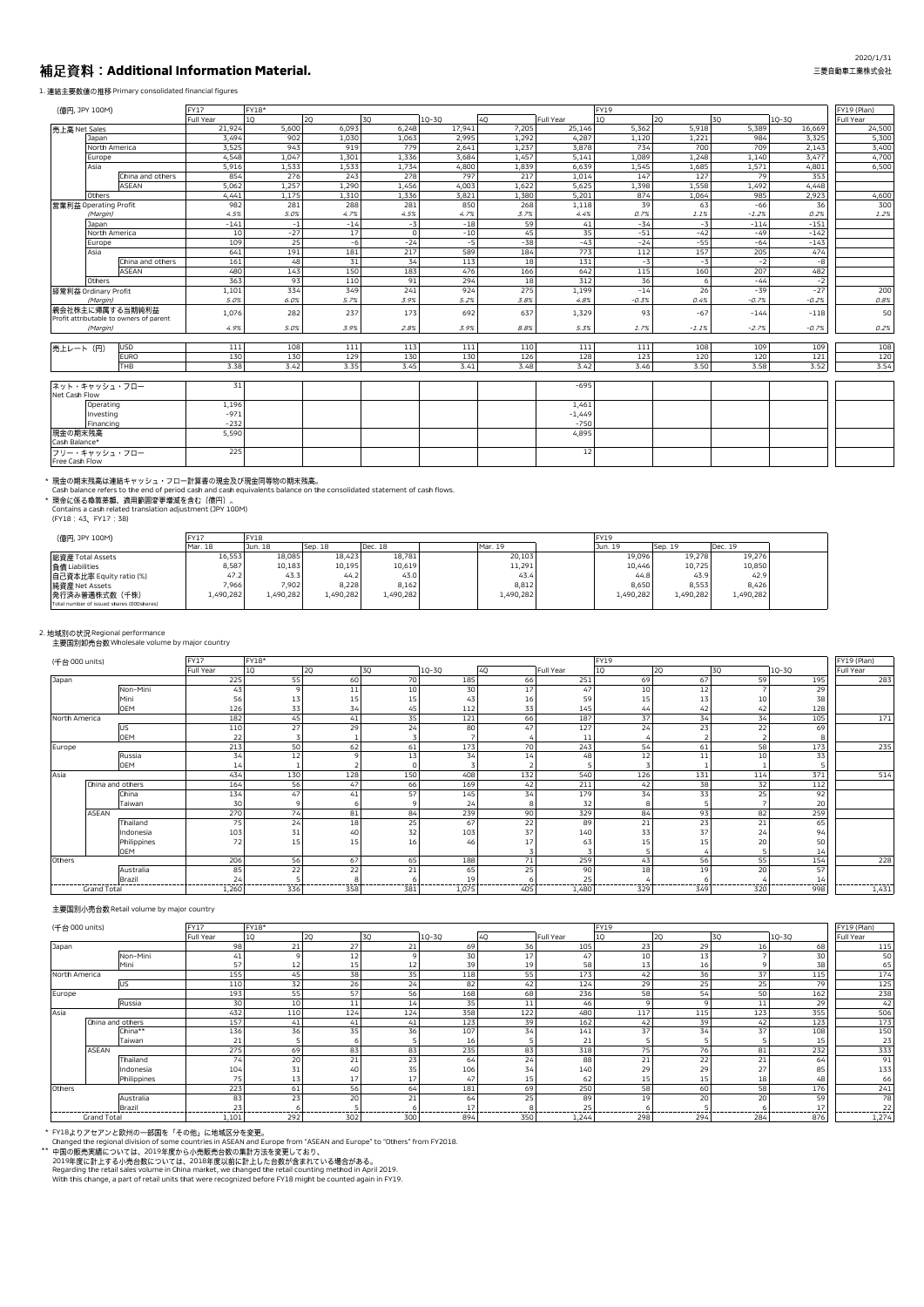# **Additional Information Material.**

## 1. 連結主要数値の推移 Primary consolidated financial figures

| (億円, JPY 100M)                 |               |                                                            | FY17      | FY18* |       |         |           |       |           | <b>FY19</b> |         |         |           | FY19 (Plan) |
|--------------------------------|---------------|------------------------------------------------------------|-----------|-------|-------|---------|-----------|-------|-----------|-------------|---------|---------|-----------|-------------|
|                                |               |                                                            | Full Year | 10    | 20    | 30      | $10 - 30$ | 40    | Full Year | 10          | 20      | 30      | $10 - 30$ | Full Year   |
| 売上高 Net Sales                  |               |                                                            | 21,924    | 5,600 | 6,093 | 6,248   | 17,941    | 7,205 | 25,146    | 5,362       | 5,918   | 5,389   | 16,669    | 24,500      |
|                                | Japan         |                                                            | 3,494     | 902   | 1,030 | 1,063   | 2,995     | 1,292 | 4,287     | 1,120       | 1,221   | 984     | 3,325     | 5,300       |
|                                | North America |                                                            | 3,525     | 943   | 919   | 779     | 2,641     | 1,237 | 3,878     | 734         | 700     | 709     | 2,143     | 3,400       |
|                                | Europe        |                                                            | 4,548     | 1,047 | 1,301 | 1,336   | 3,684     | 1,457 | 5,141     | 1,089       | 1,248   | 1,140   | 3,477     | 4,700       |
|                                | Asia          |                                                            | 5,916     | 1,533 | 1,533 | 1,734   | 4,800     | 1,839 | 6,639     | 1,545       | 1,685   | 1,571   | 4,801     | 6,500       |
|                                |               | China and others                                           | 854       | 276   | 243   | 278     | 797       | 217   | 1,014     | 147         | 127     | 79      | 353       |             |
|                                |               | ASEAN                                                      | 5,062     | 1,257 | 1,290 | 1,456   | 4,003     | 1,622 | 5,625     | 1,398       | 1,558   | 1,492   | 4,448     |             |
|                                | Others        |                                                            | 4,441     | 1,175 | 1,310 | 1,336   | 3,821     | 1.380 | 5,201     | 874         | 1,064   | 985     | 2,923     | 4,600       |
| 営業利益 Operating Profit          |               |                                                            | 982       | 281   | 288   | 281     | 850       | 268   | 1,118     | 39          | 63      | $-66$   | 36        | 300         |
|                                | (Margin)      |                                                            | 4.5%      | 5.0%  | 4.7%  | 4.5%    | 4.7%      | 3.7%  | 4.4%      | 0.7%        | 1.1%    | $-1.2%$ | 0.2%      | 1.2%        |
|                                | Japan         |                                                            | $-141$    | $-1$  | $-14$ | $-3$    | $-18$     | 59    | 41        | $-34$       | $-3$    | $-114$  | $-151$    |             |
|                                | North America |                                                            | 10        | $-27$ | $17$  | $\circ$ | $-10$     | 45    | 35        | $-51$       | $-42$   | $-49$   | $-142$    |             |
|                                | Europe        |                                                            | 109       | 25    | $-6$  | $-24$   | $-5$      | $-38$ | $-43$     | $-24$       | $-55$   | $-64$   | $-143$    |             |
|                                | Asia          |                                                            | 641       | 191   | 181   | 217     | 589       | 184   | 773       | 112         | 157     | 205     | 474       |             |
|                                |               | China and others                                           | 161       | 48    | 31    | 34      | 113       | 18    | 131       | $-3$        | $-3$    | $-2$    | $-8$      |             |
|                                |               | ASEAN                                                      | 480       | 143   | 150   | 183     | 476       | 166   | 642       | 115         | 160     | 207     | 482       |             |
|                                | Others        |                                                            | 363       | 93    | 110   | 91      | 294       | 18    | 312       | 36          | 6       | $-44$   | $-2$      |             |
| 経常利益 Ordinary Profit           |               |                                                            | 1,101     | 334   | 349   | 241     | 924       | 275   | 1,199     | $-14$       | 26      | $-39$   | $-27$     | 200         |
|                                | (Margin)      |                                                            | 5.0%      | 6.0%  | 5.7%  | 3.9%    | 5.2%      | 3.8%  | 4.8%      | $-0.3%$     | 0.4%    | $-0.7%$ | $-0.2%$   | 0.8%        |
|                                |               | 親会社株主に帰属する当期純利益<br>Profit attributable to owners of parent | 1,076     | 282   | 237   | 173     | 692       | 637   | 1,329     | 93          | $-67$   | $-144$  | $-118$    | 50          |
|                                | (Margin)      |                                                            | 4.9%      | 5.0%  | 3.9%  | 2.8%    | 3.9%      | 8.8%  | 5.3%      | 1.7%        | $-1.1%$ | $-2.7%$ | $-0.7%$   | 0.2%        |
|                                |               |                                                            |           |       |       |         |           |       |           |             |         |         |           |             |
| 売上レート (円)                      |               | USD                                                        | 111       | 108   | 111   | 113     | 111       | 110   | 111       | 111         | 108     | 109     | 109       | 108         |
|                                |               | <b>EURO</b>                                                | 130       | 130   | 129   | 130     | 130       | 126   | 128       | 123         | 120     | 120     | 121       | 120         |
|                                |               | THB                                                        | 3.38      | 3.42  | 3.35  | 3.45    | 3.41      | 3.48  | 3.42      | 3.46        | 3.50    | 3.58    | 3.52      | 3.54        |
| ネット・キャッシュ・フロー<br>Net Cash Flow |               |                                                            | 31        |       |       |         |           |       | $-695$    |             |         |         |           |             |
|                                | Operating     |                                                            | 1,196     |       |       |         |           |       | 1,461     |             |         |         |           |             |
|                                | Investing     |                                                            | $-971$    |       |       |         |           |       | $-1,449$  |             |         |         |           |             |
|                                | Financing     |                                                            | $-232$    |       |       |         |           |       | $-750$    |             |         |         |           |             |
| 現金の期末残高                        |               |                                                            | 5,590     |       |       |         |           |       | 4,895     |             |         |         |           |             |
| Cash Balance*                  |               |                                                            |           |       |       |         |           |       |           |             |         |         |           |             |
| フリー・キャッシュ・フロー                  |               |                                                            | 225       |       |       |         |           |       | 12        |             |         |         |           |             |
| Free Cash Flow                 |               |                                                            |           |       |       |         |           |       |           |             |         |         |           |             |

\* 規金の期末残局は運絡キャッシュ・フロー計算者の規金及び規金同等物の期末残局。<br>Cash balance refers to the end of period cash and cash equivalents balance on the consolidated statement of cash flows.<br>\* 現金に係る換算差額、適用範囲変更増減を含む(億円)。<br>Contains a cash related transl

| (億円, JPY 100M)                            | <b>FY17</b> | <b>FY18</b> |           |           |           | <b>FY19</b> |           |           |  |
|-------------------------------------------|-------------|-------------|-----------|-----------|-----------|-------------|-----------|-----------|--|
|                                           | Mar. 18     | Jun. 18     | Sep. 18   | Dec. 18   | Mar. 19   | Jun. 19     | Sep. 19   | Dec. 19   |  |
| 総資産 Total Assets                          | 16.553      | 18,085      | 18.423    | 18.781    | 20.103    | 19.096      | 19,278    | 19.276    |  |
| 負債 Liabilities                            | 8,587       | 10.183      | 10.195    | 10,619    | 11,291    | 10.446      | 10.725    | 10.850    |  |
| 自己資本比率 Equity ratio (%)                   | 47.2        | 43.3        | 44.2      | 43.0      | 43.4      | 44.8        | 43.9      | 42.9      |  |
| 純資産 Net Assets                            | 7.966       | 7,902       | 8.228     | 8.162     | 8,812     | 8.650       | 8.553     | 8.426     |  |
| 発行済み普通株式数(千株)                             | 1,490,282   | L,490,282   | 1,490,282 | 1,490,282 | 1,490,282 | 1,490,282   | 1,490,282 | 1,490,282 |  |
| Total number of issued shares (000shares) |             |             |           |           |           |             |           |           |  |

2. 地域別の状況 Regional performance<br>主要国別卸売台数 Wholesale volume by major country

| (千台 000 units) |                    |             | <b>FY17</b> | FY18* |     |     |           |     |                | <b>FY19</b> |     |     |           | FY19 (Plan) |
|----------------|--------------------|-------------|-------------|-------|-----|-----|-----------|-----|----------------|-------------|-----|-----|-----------|-------------|
|                |                    |             | Full Year   | 10    | 20  | 30  | $10 - 30$ | 40  | Full Year      | 10          | 20  | 30  | $10 - 30$ | Full Year   |
| Japan          |                    |             | 225         | 55    | 60  | 70  | 185       | 66  | 251            | 69          | 67  | 59  | 195       | 283         |
|                |                    | Non-Mini    | 43          |       | 11  | 10  | 30        | 17  | 47             | 10          | 12  |     | 29        |             |
|                |                    | Mini        | 56          | 13    | 15  | 15  | 43        | 16  | 59             | 15          | 13  | 10  | 38        |             |
|                |                    | <b>OEM</b>  | 126         | 33    | 34  | 45  | 112       | 33  | 145            | 44          | 42  | 42  | 128       |             |
| North America  |                    |             | 182         | 45    | 41  | 35  | 121       | 66  | 187            | 37          | 34  | 34  | 105       | 171         |
|                |                    | US          | 110         | 27    | 29  | 24  | 80        | 47  | 127            | 24          | 23  | 22  | 69        |             |
|                |                    | <b>OEM</b>  | 22          |       |     |     |           |     | 1 <sup>1</sup> |             |     |     | õ         |             |
| Europe         |                    |             | 213         | 50    | 62  | 61  | 173       | 70  | 243            | 54          | 61  | 58  | 173       | 235         |
|                |                    | Russia      | 34          | 12    |     | 13  | 34        | 14  | 48             | 12          | 11  | 10  | 33        |             |
|                |                    | <b>OEM</b>  | 14          |       |     |     |           |     |                |             |     |     |           |             |
| Asia           |                    |             | 434         | 130   | 128 | 150 | 408       | 132 | 540            | 126         | 131 | 114 | 371       | 514         |
|                | China and others   |             | 164         | 56    | 47  | 66  | 169       | 42  | 211            | 42          | 38  | 32  | 112       |             |
|                |                    | China       | 134         | 47    | 41  | 57  | 145       | 34  | 179            | 34          | 33  | 25  | 92        |             |
|                |                    | Taiwan      | 30          |       |     |     | 24        | 8   | 32             |             |     |     | 20        |             |
|                | <b>ASEAN</b>       |             | 270         | 74    | 81  | 84  | 239       | 90  | 329            | 84          | 93  | 82  | 259       |             |
|                |                    | Thailand    | 75          | 24    | 18  | 25  | 67        | 22  | 89             | 21          | 23  | 21  | 65        |             |
|                |                    | Indonesia   | 103         | 31    | 40  | 32  | 103       | 37  | 140            | 33          | 37  | 24  | 94        |             |
|                |                    | Philippines | 72          | 15    | 15  | 16  | 46        | 17  | 63             |             | 15  | 20  | 50        |             |
|                |                    | <b>OEM</b>  |             |       |     |     |           |     |                |             |     |     | 14        |             |
| Others         |                    |             | 206         | 56    | 67  | 65  | 188       | 71  | 259            | 43          | 56  | 55  | 154       | 228         |
|                |                    | Australia   | 85          | 22    | 22  | 21  | 65        | 25  | 90             | 18          | 19  | 20  | 57        |             |
|                |                    | Brazil      | 24          |       | я   |     | 19        |     | 25             |             |     |     | 14        |             |
|                | <b>Grand Total</b> |             | 1,260       | 336   | 358 | 381 | 1,075     | 405 | 1,480          | 329         | 349 | 320 | 998       | 1,431       |

## 主要国別小売台数 Retail volume by major country

| (千台 000 units) |                    |             | <b>FY17</b> | FY18* |     |                 |           |     |           | FY19 |     |     |           | FY19 (Plan)     |
|----------------|--------------------|-------------|-------------|-------|-----|-----------------|-----------|-----|-----------|------|-----|-----|-----------|-----------------|
|                |                    |             | Full Year   | 10    | 20  | 30              | $10 - 30$ | 40  | Full Year | 10   | 20  | 30  | $10 - 30$ | Full Year       |
| Japan          |                    |             | 98          | 21    | 27  | 21              | 69        | 36  | 105       | 23   | 29  | 16  | 68        | 115             |
|                |                    | Non-Mini    | 41          |       | 12  | $\sim$          | 30        | 17  | 47        | 10   | 13  |     | 30        | 50              |
|                |                    | Mini        | 57          | 12    | 15  | 12              | 39        | 19  | 58        | 13   | 16  |     | 38        | 65              |
| North America  |                    |             | 155         | 45    | 38  | 35              | 118       | 55  | 173       | 42   | 36  | 37  | 115       | 174             |
|                |                    | <b>US</b>   | 110         | 32    | 26  | 24              | 82        | 42  | 124       | 29   | 25  | 25  | 79        | 125             |
| Europe         |                    |             | 193         | 55    | 57  | 56              | 168       | 68  | 236       | 58   | 54  | 50  | 162       | 238             |
|                |                    | Russia      | 30          | 10    | 11  | 14 <sub>1</sub> | 35        | 11  | 46        |      |     |     | 29        | 42              |
| Asia           |                    |             | 432         | 110   | 124 | 124             | 358       | 122 | 480       | 117  | 115 | 123 | 355       | 506             |
|                | China and others   |             | 157         | 41    | 41  | 41              | 123       | 39  | 162       | 42   | 39  | 42  | 123       | 17 <sub>2</sub> |
|                |                    | China**     | 136         | 36    | 35  | 36              | 107       | 34  | 141       | 37   | 34  | 37  | 108       | 150             |
|                |                    | Taiwan      | 21          |       |     |                 | 16        |     | 21        |      |     |     | 15        | 23              |
|                | ASEAN              |             | 275         | 69    | 83  | 83              | 235       | 83  | 318       | 75   | 76  | 81  | 232       | 333             |
|                |                    | Thailand    | 74          | 20    | 21  | 23              | 64        | 24  | 88        | 21   | 22  |     | 64        | 91              |
|                |                    | Indonesia   | 104         |       | 40  | 35              | 106       |     | 140       | 29   | 29  |     | 85        | 133             |
|                |                    | Philippines | 75          | 13    | 17  | 17              | 47        | 15  | 62        | 15   | 15  | 18  | 48        | 66              |
| Others         |                    |             | 223         | 61    | 56  | 64              | 181       | 69  | 250       | 58   | 60  | 58  | 176       | 241             |
|                |                    | Australia   | 83          | 23    | 20  | 21              | 64        | 25  | 89        | 19   | 20  | 20  | 59        | 78              |
|                |                    | Brazil      | 23          |       |     |                 |           |     | 25        |      |     |     | 17        |                 |
|                | <b>Grand Total</b> |             | 1,101       | 292   | 302 | 300             | 894       | 350 | 1,244     | 298  | 294 | 284 | 876       | 1,274           |

\* FY18よりアセアンと欧州の一部国を「その他」に地域区分を変更。<br>Changed the regional division of some countries in ASEAN and Europe Ton "ASEAN and Europe" to "Others" from FY2018.<br>\*\* 中国の販売実績については、2019年度から小売販売台数の集計方法を変更しており、<br>2019年度に計上する小売台数については、2018